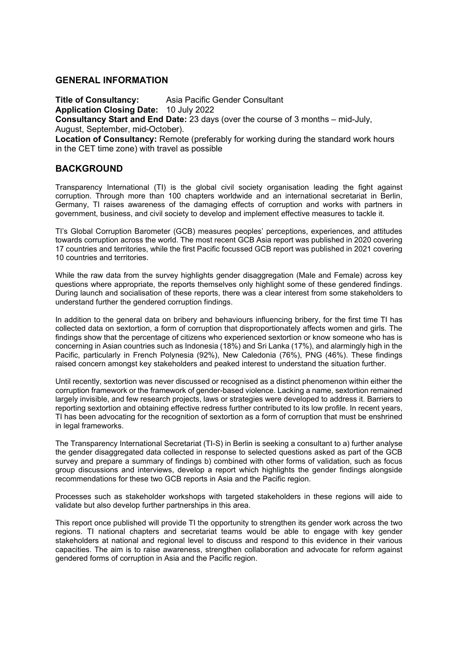#### **GENERAL INFORMATION**

**Title of Consultancy:** Asia Pacific Gender Consultant **Application Closing Date:** 10 July 2022 **Consultancy Start and End Date:** 23 days (over the course of 3 months – mid-July, August, September, mid-October). **Location of Consultancy:** Remote (preferably for working during the standard work hours in the CET time zone) with travel as possible

### **BACKGROUND**

Transparency International (TI) is the global civil society organisation leading the fight against corruption. Through more than 100 chapters worldwide and an international secretariat in Berlin, Germany, TI raises awareness of the damaging effects of corruption and works with partners in government, business, and civil society to develop and implement effective measures to tackle it.

TI's Global Corruption Barometer (GCB) measures peoples' perceptions, experiences, and attitudes towards corruption across the world. The most recent GCB Asia report was published in 2020 covering 17 countries and territories, while the first Pacific focussed GCB report was published in 2021 covering 10 countries and territories.

While the raw data from the survey highlights gender disaggregation (Male and Female) across key questions where appropriate, the reports themselves only highlight some of these gendered findings. During launch and socialisation of these reports, there was a clear interest from some stakeholders to understand further the gendered corruption findings.

In addition to the general data on bribery and behaviours influencing bribery, for the first time TI has collected data on sextortion, a form of corruption that disproportionately affects women and girls. The findings show that the percentage of citizens who experienced sextortion or know someone who has is concerning in Asian countries such as Indonesia (18%) and Sri Lanka (17%), and alarmingly high in the Pacific, particularly in French Polynesia (92%), New Caledonia (76%), PNG (46%). These findings raised concern amongst key stakeholders and peaked interest to understand the situation further.

Until recently, sextortion was never discussed or recognised as a distinct phenomenon within either the corruption framework or the framework of gender-based violence. Lacking a name, sextortion remained largely invisible, and few research projects, laws or strategies were developed to address it. Barriers to reporting sextortion and obtaining effective redress further contributed to its low profile. In recent years, TI has been advocating for the recognition of sextortion as a form of corruption that must be enshrined in legal frameworks.

The Transparency International Secretariat (TI-S) in Berlin is seeking a consultant to a) further analyse the gender disaggregated data collected in response to selected questions asked as part of the GCB survey and prepare a summary of findings b) combined with other forms of validation, such as focus group discussions and interviews, develop a report which highlights the gender findings alongside recommendations for these two GCB reports in Asia and the Pacific region.

Processes such as stakeholder workshops with targeted stakeholders in these regions will aide to validate but also develop further partnerships in this area.

This report once published will provide TI the opportunity to strengthen its gender work across the two regions. TI national chapters and secretariat teams would be able to engage with key gender stakeholders at national and regional level to discuss and respond to this evidence in their various capacities. The aim is to raise awareness, strengthen collaboration and advocate for reform against gendered forms of corruption in Asia and the Pacific region.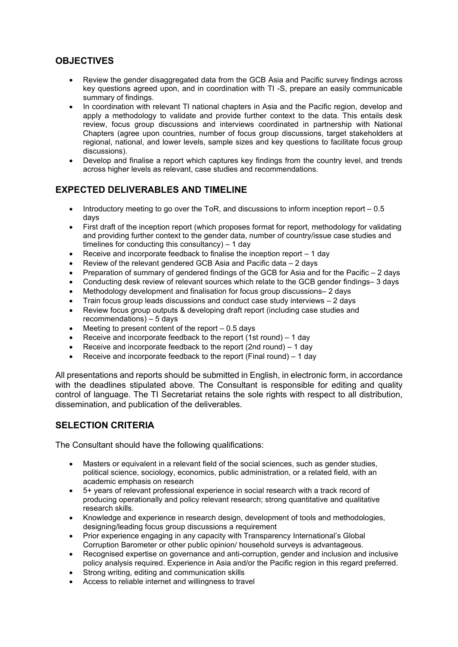# **OBJECTIVES**

- Review the gender disaggregated data from the GCB Asia and Pacific survey findings across key questions agreed upon, and in coordination with TI -S, prepare an easily communicable summary of findings.
- In coordination with relevant TI national chapters in Asia and the Pacific region, develop and apply a methodology to validate and provide further context to the data. This entails desk review, focus group discussions and interviews coordinated in partnership with National Chapters (agree upon countries, number of focus group discussions, target stakeholders at regional, national, and lower levels, sample sizes and key questions to facilitate focus group discussions).
- Develop and finalise a report which captures key findings from the country level, and trends across higher levels as relevant, case studies and recommendations.

# **EXPECTED DELIVERABLES AND TIMELINE**

- Introductory meeting to go over the ToR, and discussions to inform inception report 0.5 days
- First draft of the inception report (which proposes format for report, methodology for validating and providing further context to the gender data, number of country/issue case studies and timelines for conducting this consultancy) – 1 day
- Receive and incorporate feedback to finalise the inception report 1 day
- Review of the relevant gendered GCB Asia and Pacific data 2 days
- Preparation of summary of gendered findings of the GCB for Asia and for the Pacific 2 days
- Conducting desk review of relevant sources which relate to the GCB gender findings– 3 days
- Methodology development and finalisation for focus group discussions– 2 days
- Train focus group leads discussions and conduct case study interviews 2 days
- Review focus group outputs & developing draft report (including case studies and recommendations) – 5 days
- $\bullet$  Meeting to present content of the report  $-0.5$  days
- Receive and incorporate feedback to the report  $(1st round) 1 day$
- Receive and incorporate feedback to the report (2nd round) 1 day
- Receive and incorporate feedback to the report (Final round) 1 day

All presentations and reports should be submitted in English, in electronic form, in accordance with the deadlines stipulated above. The Consultant is responsible for editing and quality control of language. The TI Secretariat retains the sole rights with respect to all distribution, dissemination, and publication of the deliverables.

## **SELECTION CRITERIA**

The Consultant should have the following qualifications:

- Masters or equivalent in a relevant field of the social sciences, such as gender studies, political science, sociology, economics, public administration, or a related field, with an academic emphasis on research
- 5+ years of relevant professional experience in social research with a track record of producing operationally and policy relevant research; strong quantitative and qualitative research skills.
- Knowledge and experience in research design, development of tools and methodologies, designing/leading focus group discussions a requirement
- Prior experience engaging in any capacity with Transparency International's Global Corruption Barometer or other public opinion/ household surveys is advantageous.
- Recognised expertise on governance and anti-corruption, gender and inclusion and inclusive policy analysis required. Experience in Asia and/or the Pacific region in this regard preferred.
- Strong writing, editing and communication skills
- Access to reliable internet and willingness to travel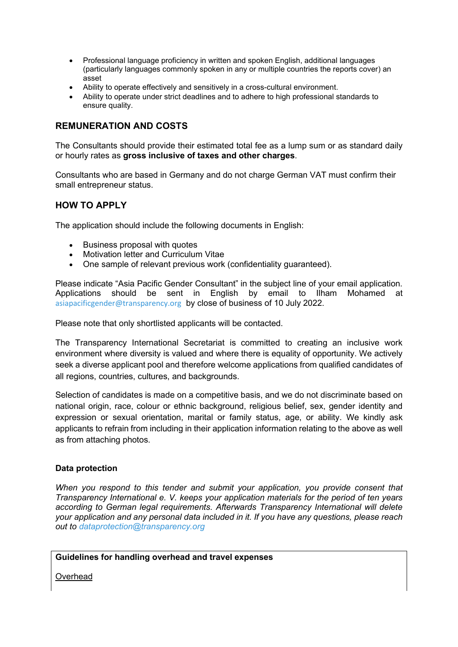- Professional language proficiency in written and spoken English, additional languages (particularly languages commonly spoken in any or multiple countries the reports cover) an asset
- Ability to operate effectively and sensitively in a cross-cultural environment.
- Ability to operate under strict deadlines and to adhere to high professional standards to ensure quality.

## **REMUNERATION AND COSTS**

The Consultants should provide their estimated total fee as a lump sum or as standard daily or hourly rates as **gross inclusive of taxes and other charges**.

Consultants who are based in Germany and do not charge German VAT must confirm their small entrepreneur status.

## **HOW TO APPLY**

The application should include the following documents in English:

- Business proposal with quotes
- Motivation letter and Curriculum Vitae
- One sample of relevant previous work (confidentiality guaranteed).

Please indicate "Asia Pacific Gender Consultant" in the subject line of your email application. Applications should be sent in English by email to Ilham Mohamed at asiapacificgender@transparency.org by close of business of 10 July 2022.

Please note that only shortlisted applicants will be contacted.

The Transparency International Secretariat is committed to creating an inclusive work environment where diversity is valued and where there is equality of opportunity. We actively seek a diverse applicant pool and therefore welcome applications from qualified candidates of all regions, countries, cultures, and backgrounds.

Selection of candidates is made on a competitive basis, and we do not discriminate based on national origin, race, colour or ethnic background, religious belief, sex, gender identity and expression or sexual orientation, marital or family status, age, or ability. We kindly ask applicants to refrain from including in their application information relating to the above as well as from attaching photos.

#### **Data protection**

*When you respond to this tender and submit your application, you provide consent that Transparency International e. V. keeps your application materials for the period of ten years according to German legal requirements. Afterwards Transparency International will delete your application and any personal data included in it. If you have any questions, please reach out to dataprotection@transparency.org*

#### **Guidelines for handling overhead and travel expenses**

**Overhead**